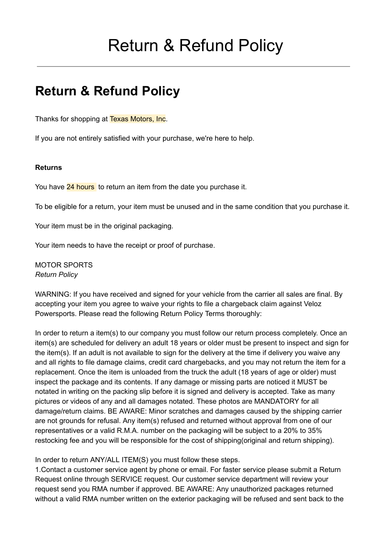# Return & Refund Policy

## **Return & Refund Policy**

Thanks for shopping at Texas Motors, Inc.

If you are not entirely satisfied with your purchase, we're here to help.

#### **Returns**

You have 24 hours to return an item from the date you purchase it.

To be eligible for a return, your item must be unused and in the same condition that you purchase it.

Your item must be in the original packaging.

Your item needs to have the receipt or proof of purchase.

MOTOR SPORTS *Return Policy*

WARNING: If you have received and signed for your vehicle from the carrier all sales are final. By accepting your item you agree to waive your rights to file a chargeback claim against Veloz Powersports. Please read the following Return Policy Terms thoroughly:

In order to return a item(s) to our company you must follow our return process completely. Once an item(s) are scheduled for delivery an adult 18 years or older must be present to inspect and sign for the item(s). If an adult is not available to sign for the delivery at the time if delivery you waive any and all rights to file damage claims, credit card chargebacks, and you may not return the item for a replacement. Once the item is unloaded from the truck the adult (18 years of age or older) must inspect the package and its contents. If any damage or missing parts are noticed it MUST be notated in writing on the packing slip before it is signed and delivery is accepted. Take as many pictures or videos of any and all damages notated. These photos are MANDATORY for all damage/return claims. BE AWARE: Minor scratches and damages caused by the shipping carrier are not grounds for refusal. Any item(s) refused and returned without approval from one of our representatives or a valid R.M.A. number on the packaging will be subject to a 20% to 35% restocking fee and you will be responsible for the cost of shipping(original and return shipping).

In order to return ANY/ALL ITEM(S) you must follow these steps.

1.Contact a customer service agent by phone or email. For faster service please submit a Return Request online through SERVICE request. Our customer service department will review your request send you RMA number if approved. BE AWARE: Any unauthorized packages returned without a valid RMA number written on the exterior packaging will be refused and sent back to the